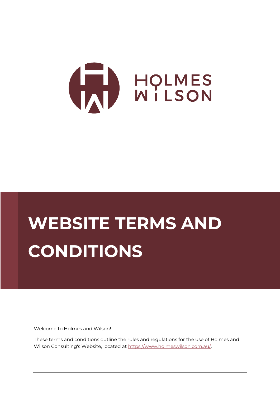

# **WEBSITE TERMS AND CONDITIONS**

Welcome to Holmes and Wilson!

These terms and conditions outline the rules and regulations for the use of Holmes and Wilson Consulting's Website, located at [https://www.holmeswilson.com.au/.](https://www.holmeswilson.com.au/)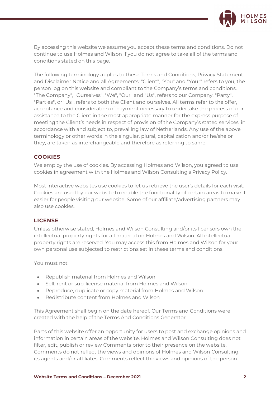

By accessing this website we assume you accept these terms and conditions. Do not continue to use Holmes and Wilson if you do not agree to take all of the terms and conditions stated on this page.

The following terminology applies to these Terms and Conditions, Privacy Statement and Disclaimer Notice and all Agreements: "Client", "You" and "Your" refers to you, the person log on this website and compliant to the Company's terms and conditions. "The Company", "Ourselves", "We", "Our" and "Us", refers to our Company. "Party", "Parties", or "Us", refers to both the Client and ourselves. All terms refer to the offer, acceptance and consideration of payment necessary to undertake the process of our assistance to the Client in the most appropriate manner for the express purpose of meeting the Client's needs in respect of provision of the Company's stated services, in accordance with and subject to, prevailing law of Netherlands. Any use of the above terminology or other words in the singular, plural, capitalization and/or he/she or they, are taken as interchangeable and therefore as referring to same.

# **COOKIES**

We employ the use of cookies. By accessing Holmes and Wilson, you agreed to use cookies in agreement with the Holmes and Wilson Consulting's Privacy Policy.

Most interactive websites use cookies to let us retrieve the user's details for each visit. Cookies are used by our website to enable the functionality of certain areas to make it easier for people visiting our website. Some of our affiliate/advertising partners may also use cookies.

### **LICENSE**

Unless otherwise stated, Holmes and Wilson Consulting and/or its licensors own the intellectual property rights for all material on Holmes and Wilson. All intellectual property rights are reserved. You may access this from Holmes and Wilson for your own personal use subjected to restrictions set in these terms and conditions.

You must not:

- Republish material from Holmes and Wilson
- Sell, rent or sub-license material from Holmes and Wilson
- Reproduce, duplicate or copy material from Holmes and Wilson
- Redistribute content from Holmes and Wilson

This Agreement shall begin on the date hereof. Our Terms and Conditions were created with the help of the [Terms And Conditions Generator.](https://www.termsandconditionsgenerator.com/)

Parts of this website offer an opportunity for users to post and exchange opinions and information in certain areas of the website. Holmes and Wilson Consulting does not filter, edit, publish or review Comments prior to their presence on the website. Comments do not reflect the views and opinions of Holmes and Wilson Consulting, its agents and/or affiliates. Comments reflect the views and opinions of the person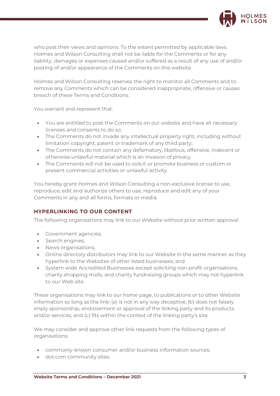

who post their views and opinions. To the extent permitted by applicable laws, Holmes and Wilson Consulting shall not be liable for the Comments or for any liability, damages or expenses caused and/or suffered as a result of any use of and/or posting of and/or appearance of the Comments on this website.

Holmes and Wilson Consulting reserves the right to monitor all Comments and to remove any Comments which can be considered inappropriate, offensive or causes breach of these Terms and Conditions.

You warrant and represent that:

- You are entitled to post the Comments on our website and have all necessary licenses and consents to do so;
- The Comments do not invade any intellectual property right, including without limitation copyright, patent or trademark of any third party;
- The Comments do not contain any defamatory, libellous, offensive, indecent or otherwise unlawful material which is an invasion of privacy
- The Comments will not be used to solicit or promote business or custom or present commercial activities or unlawful activity.

You hereby grant Holmes and Wilson Consulting a non-exclusive license to use, reproduce, edit and authorize others to use, reproduce and edit any of your Comments in any and all forms, formats or media.

# **HYPERLINKING TO OUR CONTENT**

The following organisations may link to our Website without prior written approval:

- Government agencies;
- Search engines;
- News organisations;
- Online directory distributors may link to our Website in the same manner as they hyperlink to the Websites of other listed businesses; and
- System wide Accredited Businesses except soliciting non-profit organisations, charity shopping malls, and charity fundraising groups which may not hyperlink to our Web site.

These organisations may link to our home page, to publications or to other Website information so long as the link: (a) is not in any way deceptive; (b) does not falsely imply sponsorship, endorsement or approval of the linking party and its products and/or services; and (c) fits within the context of the linking party's site.

We may consider and approve other link requests from the following types of organisations:

- commonly-known consumer and/or business information sources;
- dot.com community sites;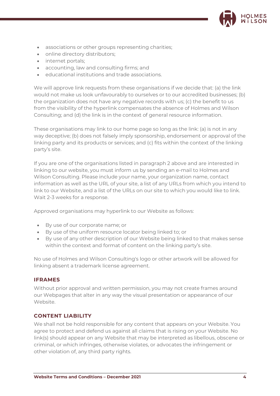

- associations or other groups representing charities;
- online directory distributors;
- internet portals;
- accounting, law and consulting firms; and
- educational institutions and trade associations.

We will approve link requests from these organisations if we decide that: (a) the link would not make us look unfavourably to ourselves or to our accredited businesses; (b) the organization does not have any negative records with us; (c) the benefit to us from the visibility of the hyperlink compensates the absence of Holmes and Wilson Consulting; and (d) the link is in the context of general resource information.

These organisations may link to our home page so long as the link: (a) is not in any way deceptive; (b) does not falsely imply sponsorship, endorsement or approval of the linking party and its products or services; and (c) fits within the context of the linking party's site.

If you are one of the organisations listed in paragraph 2 above and are interested in linking to our website, you must inform us by sending an e-mail to Holmes and Wilson Consulting. Please include your name, your organization name, contact information as well as the URL of your site, a list of any URLs from which you intend to link to our Website, and a list of the URLs on our site to which you would like to link. Wait 2-3 weeks for a response.

Approved organisations may hyperlink to our Website as follows:

- By use of our corporate name; or
- By use of the uniform resource locator being linked to; or
- By use of any other description of our Website being linked to that makes sense within the context and format of content on the linking party's site.

No use of Holmes and Wilson Consulting's logo or other artwork will be allowed for linking absent a trademark license agreement.

#### **IFRAMES**

Without prior approval and written permission, you may not create frames around our Webpages that alter in any way the visual presentation or appearance of our Website.

#### **CONTENT LIABILITY**

We shall not be hold responsible for any content that appears on your Website. You agree to protect and defend us against all claims that is rising on your Website. No link(s) should appear on any Website that may be interpreted as libellous, obscene or criminal, or which infringes, otherwise violates, or advocates the infringement or other violation of, any third party rights.